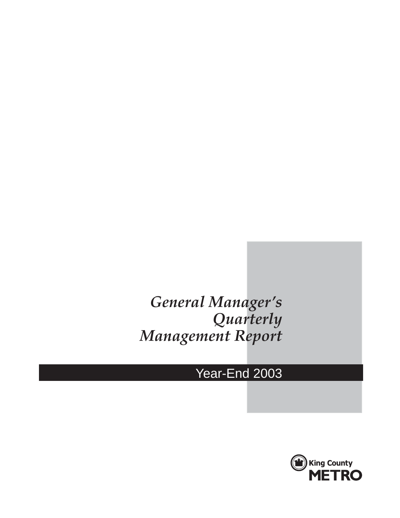# *General Manager's Quarterly Management Report*

# Year-End 2003

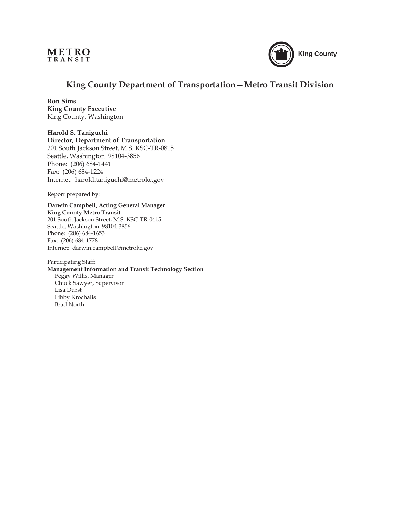



## **King County Department of Transportation—Metro Transit Division**

**Ron Sims King County Executive** King County, Washington

**Harold S. Taniguchi Director, Department of Transportation** 201 South Jackson Street, M.S. KSC-TR-0815 Seattle, Washington 98104-3856 Phone: (206) 684-1441 Fax: (206) 684-1224 Internet: harold.taniguchi@metrokc.gov

Report prepared by:

**Darwin Campbell, Acting General Manager King County Metro Transit** 201 South Jackson Street, M.S. KSC-TR-0415 Seattle, Washington 98104-3856 Phone: (206) 684-1653 Fax: (206) 684-1778 Internet: darwin.campbell@metrokc.gov

Participating Staff: **Management Information and Transit Technology Section** Peggy Willis, Manager Chuck Sawyer, Supervisor Lisa Durst Libby Krochalis Brad North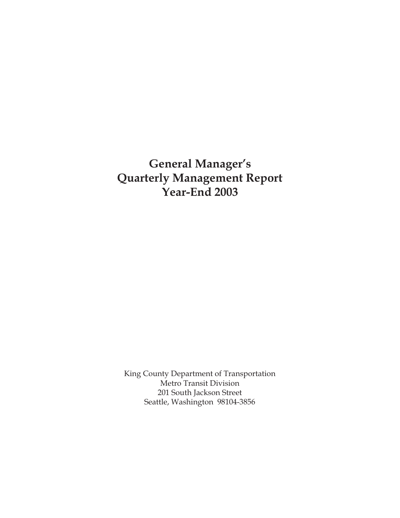# **General Manager's Quarterly Management Report Year-End 2003**

King County Department of Transportation Metro Transit Division 201 South Jackson Street Seattle, Washington 98104-3856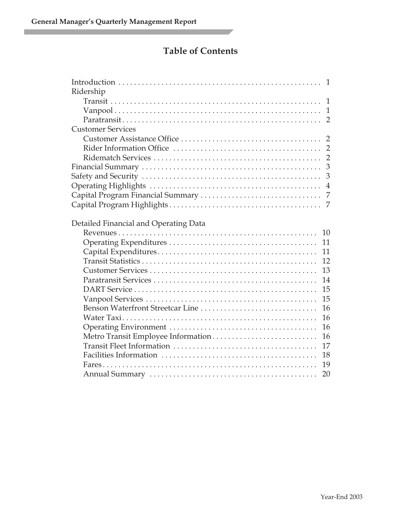П

## **Table of Contents**

| Ridership                             |                |
|---------------------------------------|----------------|
|                                       |                |
|                                       |                |
|                                       |                |
| <b>Customer Services</b>              |                |
|                                       |                |
|                                       |                |
|                                       |                |
|                                       |                |
|                                       | $\overline{3}$ |
|                                       | $\overline{4}$ |
|                                       |                |
|                                       |                |
| Detailed Financial and Operating Data | 10             |
|                                       |                |
|                                       | 11<br>11       |
|                                       | 12             |
|                                       | 13             |
|                                       | 14             |
|                                       | 15             |
|                                       | 15             |
| Benson Waterfront Streetcar Line      | 16             |
|                                       | 16             |
|                                       | 16             |
| Metro Transit Employee Information    | 16             |
|                                       | 17             |
|                                       | 18             |
|                                       | 19             |
|                                       | 20             |
|                                       |                |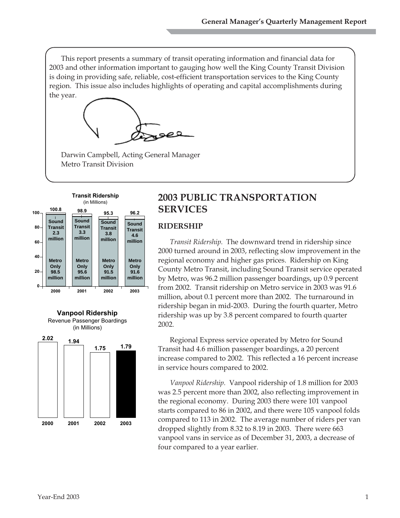This report presents a summary of transit operating information and financial data for 2003 and other information important to gauging how well the King County Transit Division is doing in providing safe, reliable, cost-efficient transportation services to the King County region. This issue also includes highlights of operating and capital accomplishments during the year.



Darwin Campbell, Acting General Manager Metro Transit Division





## **2003 PUBLIC TRANSPORTATION SERVICES**

#### **RIDERSHIP**

*Transit Ridership.* The downward trend in ridership since 2000 turned around in 2003, reflecting slow improvement in the regional economy and higher gas prices. Ridership on King County Metro Transit, including Sound Transit service operated by Metro, was 96.2 million passenger boardings, up 0.9 percent from 2002. Transit ridership on Metro service in 2003 was 91.6 million, about 0.1 percent more than 2002. The turnaround in ridership began in mid-2003. During the fourth quarter, Metro ridership was up by 3.8 percent compared to fourth quarter 2002.

Regional Express service operated by Metro for Sound Transit had 4.6 million passenger boardings, a 20 percent increase compared to 2002. This reflected a 16 percent increase in service hours compared to 2002.

*Vanpool Ridership.* Vanpool ridership of 1.8 million for 2003 was 2.5 percent more than 2002, also reflecting improvement in the regional economy. During 2003 there were 101 vanpool starts compared to 86 in 2002, and there were 105 vanpool folds compared to 113 in 2002. The average number of riders per van dropped slightly from 8.32 to 8.19 in 2003. There were 663 vanpool vans in service as of December 31, 2003, a decrease of four compared to a year earlier.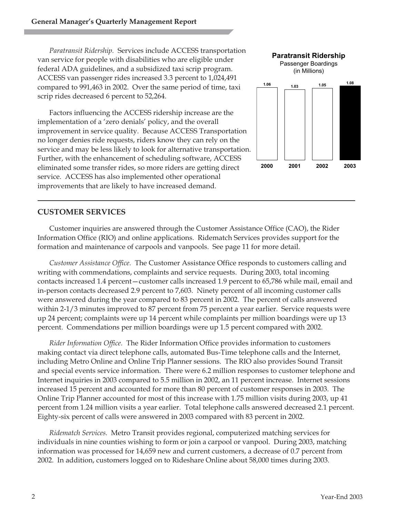*Paratransit Ridership.* Services include ACCESS transportation van service for people with disabilities who are eligible under federal ADA guidelines, and a subsidized taxi scrip program. ACCESS van passenger rides increased 3.3 percent to 1,024,491 compared to 991,463 in 2002. Over the same period of time, taxi scrip rides decreased 6 percent to 52,264.

Factors influencing the ACCESS ridership increase are the implementation of a 'zero denials' policy, and the overall improvement in service quality. Because ACCESS Transportation no longer denies ride requests, riders know they can rely on the service and may be less likely to look for alternative transportation. Further, with the enhancement of scheduling software, ACCESS eliminated some transfer rides, so more riders are getting direct service. ACCESS has also implemented other operational improvements that are likely to have increased demand.



#### **CUSTOMER SERVICES**

Customer inquiries are answered through the Customer Assistance Office (CAO), the Rider Information Office (RIO) and online applications. Ridematch Services provides support for the formation and maintenance of carpools and vanpools. See page 11 for more detail.

*Customer Assistance Office.* The Customer Assistance Office responds to customers calling and writing with commendations, complaints and service requests. During 2003, total incoming contacts increased 1.4 percent—customer calls increased 1.9 percent to 65,786 while mail, email and in-person contacts decreased 2.9 percent to 7,603. Ninety percent of all incoming customer calls were answered during the year compared to 83 percent in 2002. The percent of calls answered within 2-1/3 minutes improved to 87 percent from 75 percent a year earlier. Service requests were up 24 percent; complaints were up 14 percent while complaints per million boardings were up 13 percent. Commendations per million boardings were up 1.5 percent compared with 2002.

*Rider Information Office.* The Rider Information Office provides information to customers making contact via direct telephone calls, automated Bus-Time telephone calls and the Internet, including Metro Online and Online Trip Planner sessions. The RIO also provides Sound Transit and special events service information. There were 6.2 million responses to customer telephone and Internet inquiries in 2003 compared to 5.5 million in 2002, an 11 percent increase. Internet sessions increased 15 percent and accounted for more than 80 percent of customer responses in 2003. The Online Trip Planner accounted for most of this increase with 1.75 million visits during 2003, up 41 percent from 1.24 million visits a year earlier. Total telephone calls answered decreased 2.1 percent. Eighty-six percent of calls were answered in 2003 compared with 83 percent in 2002.

*Ridematch Services.* Metro Transit provides regional, computerized matching services for individuals in nine counties wishing to form or join a carpool or vanpool. During 2003, matching information was processed for 14,659 new and current customers, a decrease of 0.7 percent from 2002. In addition, customers logged on to Rideshare Online about 58,000 times during 2003.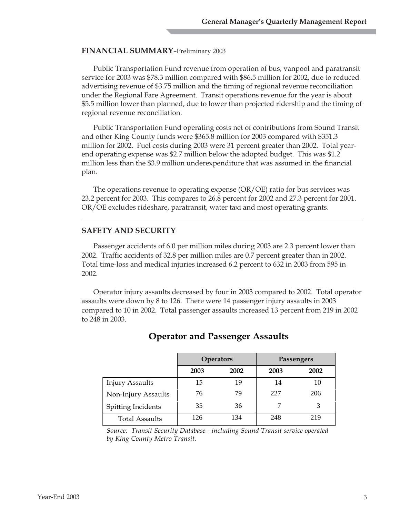#### **FINANCIAL SUMMARY**–Preliminary 2003

Public Transportation Fund revenue from operation of bus, vanpool and paratransit service for 2003 was \$78.3 million compared with \$86.5 million for 2002, due to reduced advertising revenue of \$3.75 million and the timing of regional revenue reconciliation under the Regional Fare Agreement. Transit operations revenue for the year is about \$5.5 million lower than planned, due to lower than projected ridership and the timing of regional revenue reconciliation.

Public Transportation Fund operating costs net of contributions from Sound Transit and other King County funds were \$365.8 million for 2003 compared with \$351.3 million for 2002. Fuel costs during 2003 were 31 percent greater than 2002. Total yearend operating expense was \$2.7 million below the adopted budget. This was \$1.2 million less than the \$3.9 million underexpenditure that was assumed in the financial plan.

The operations revenue to operating expense (OR/OE) ratio for bus services was 23.2 percent for 2003. This compares to 26.8 percent for 2002 and 27.3 percent for 2001. OR/OE excludes rideshare, paratransit, water taxi and most operating grants.

#### **SAFETY AND SECURITY**

Passenger accidents of 6.0 per million miles during 2003 are 2.3 percent lower than 2002. Traffic accidents of 32.8 per million miles are 0.7 percent greater than in 2002. Total time-loss and medical injuries increased 6.2 percent to 632 in 2003 from 595 in 2002.

Operator injury assaults decreased by four in 2003 compared to 2002. Total operator assaults were down by 8 to 126. There were 14 passenger injury assaults in 2003 compared to 10 in 2002. Total passenger assaults increased 13 percent from 219 in 2002 to 248 in 2003.

|                        | <b>Operators</b> |      | Passengers |      |
|------------------------|------------------|------|------------|------|
|                        | 2003             | 2002 | 2003       | 2002 |
| <b>Injury Assaults</b> | 15               | 19   | 14         | 10   |
| Non-Injury Assaults    | 76               | 79   | 227        | 206  |
| Spitting Incidents     | 35               | 36   |            |      |
| <b>Total Assaults</b>  | 126              | 134  | 248        | 219  |

## **Operator and Passenger Assaults**

*Source: Transit Security Database - including Sound Transit service operated by King County Metro Transit.*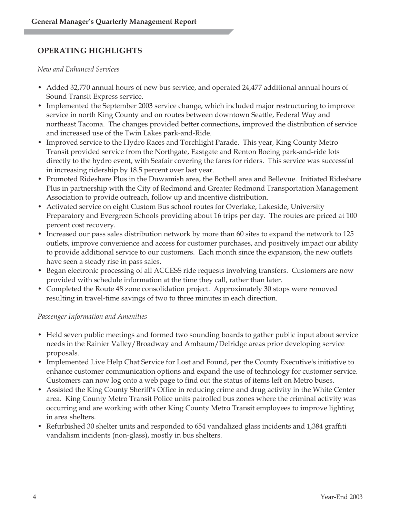## **OPERATING HIGHLIGHTS**

*New and Enhanced Services*

- Added 32,770 annual hours of new bus service, and operated 24,477 additional annual hours of Sound Transit Express service.
- Implemented the September 2003 service change, which included major restructuring to improve service in north King County and on routes between downtown Seattle, Federal Way and northeast Tacoma. The changes provided better connections, improved the distribution of service and increased use of the Twin Lakes park-and-Ride.
- Improved service to the Hydro Races and Torchlight Parade. This year, King County Metro Transit provided service from the Northgate, Eastgate and Renton Boeing park-and-ride lots directly to the hydro event, with Seafair covering the fares for riders. This service was successful in increasing ridership by 18.5 percent over last year.
- Promoted Rideshare Plus in the Duwamish area, the Bothell area and Bellevue. Initiated Rideshare Plus in partnership with the City of Redmond and Greater Redmond Transportation Management Association to provide outreach, follow up and incentive distribution.
- Activated service on eight Custom Bus school routes for Overlake, Lakeside, University Preparatory and Evergreen Schools providing about 16 trips per day. The routes are priced at 100 percent cost recovery.
- Increased our pass sales distribution network by more than 60 sites to expand the network to 125 outlets, improve convenience and access for customer purchases, and positively impact our ability to provide additional service to our customers. Each month since the expansion, the new outlets have seen a steady rise in pass sales.
- Began electronic processing of all ACCESS ride requests involving transfers. Customers are now provided with schedule information at the time they call, rather than later.
- Completed the Route 48 zone consolidation project. Approximately 30 stops were removed resulting in travel-time savings of two to three minutes in each direction.

#### *Passenger Information and Amenities*

- Held seven public meetings and formed two sounding boards to gather public input about service needs in the Rainier Valley/Broadway and Ambaum/Delridge areas prior developing service proposals.
- Implemented Live Help Chat Service for Lost and Found, per the County Executive's initiative to enhance customer communication options and expand the use of technology for customer service. Customers can now log onto a web page to find out the status of items left on Metro buses.
- Assisted the King County Sheriff's Office in reducing crime and drug activity in the White Center area. King County Metro Transit Police units patrolled bus zones where the criminal activity was occurring and are working with other King County Metro Transit employees to improve lighting in area shelters.
- Refurbished 30 shelter units and responded to 654 vandalized glass incidents and 1,384 graffiti vandalism incidents (non-glass), mostly in bus shelters.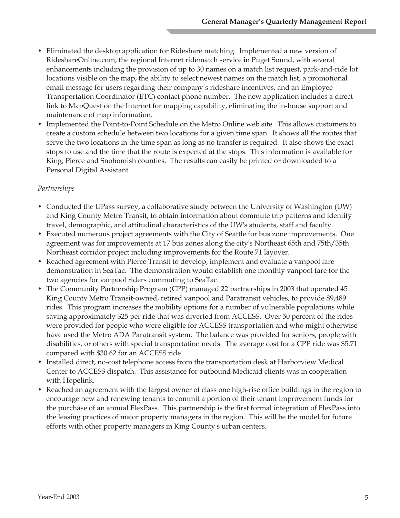- Eliminated the desktop application for Rideshare matching. Implemented a new version of RideshareOnline.com, the regional Internet ridematch service in Puget Sound, with several enhancements including the provision of up to 30 names on a match list request, park-and-ride lot locations visible on the map, the ability to select newest names on the match list, a promotional email message for users regarding their company's rideshare incentives, and an Employee Transportation Coordinator (ETC) contact phone number. The new application includes a direct link to MapQuest on the Internet for mapping capability, eliminating the in-house support and maintenance of map information.
- Implemented the Point-to-Point Schedule on the Metro Online web site. This allows customers to create a custom schedule between two locations for a given time span. It shows all the routes that serve the two locations in the time span as long as no transfer is required. It also shows the exact stops to use and the time that the route is expected at the stops. This information is available for King, Pierce and Snohomish counties. The results can easily be printed or downloaded to a Personal Digital Assistant.

#### *Partnerships*

- Conducted the UPass survey, a collaborative study between the University of Washington (UW) and King County Metro Transit, to obtain information about commute trip patterns and identify travel, demographic, and attitudinal characteristics of the UW's students, staff and faculty.
- Executed numerous project agreements with the City of Seattle for bus zone improvements. One agreement was for improvements at 17 bus zones along the city's Northeast 65th and 75th/35th Northeast corridor project including improvements for the Route 71 layover.
- Reached agreement with Pierce Transit to develop, implement and evaluate a vanpool fare demonstration in SeaTac. The demonstration would establish one monthly vanpool fare for the two agencies for vanpool riders commuting to SeaTac.
- The Community Partnership Program (CPP) managed 22 partnerships in 2003 that operated 45 King County Metro Transit-owned, retired vanpool and Paratransit vehicles, to provide 89,489 rides. This program increases the mobility options for a number of vulnerable populations while saving approximately \$25 per ride that was diverted from ACCESS. Over 50 percent of the rides were provided for people who were eligible for ACCESS transportation and who might otherwise have used the Metro ADA Paratransit system. The balance was provided for seniors, people with disabilities, or others with special transportation needs. The average cost for a CPP ride was \$5.71 compared with \$30.62 for an ACCESS ride.
- Installed direct, no-cost telephone access from the transportation desk at Harborview Medical Center to ACCESS dispatch. This assistance for outbound Medicaid clients was in cooperation with Hopelink.
- Reached an agreement with the largest owner of class one high-rise office buildings in the region to encourage new and renewing tenants to commit a portion of their tenant improvement funds for the purchase of an annual FlexPass. This partnership is the first formal integration of FlexPass into the leasing practices of major property managers in the region. This will be the model for future efforts with other property managers in King County's urban centers.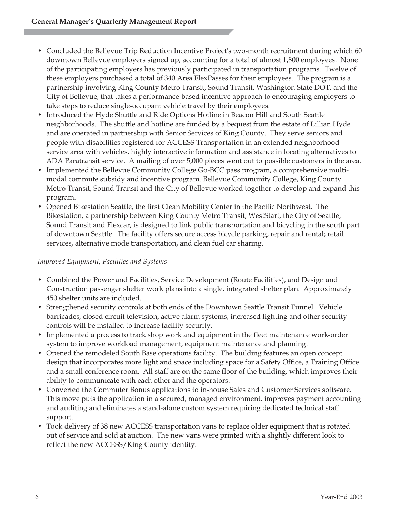- Concluded the Bellevue Trip Reduction Incentive Project's two-month recruitment during which 60 downtown Bellevue employers signed up, accounting for a total of almost 1,800 employees. None of the participating employers has previously participated in transportation programs. Twelve of these employers purchased a total of 340 Area FlexPasses for their employees. The program is a partnership involving King County Metro Transit, Sound Transit, Washington State DOT, and the City of Bellevue, that takes a performance-based incentive approach to encouraging employers to take steps to reduce single-occupant vehicle travel by their employees.
- Introduced the Hyde Shuttle and Ride Options Hotline in Beacon Hill and South Seattle neighborhoods. The shuttle and hotline are funded by a bequest from the estate of Lillian Hyde and are operated in partnership with Senior Services of King County. They serve seniors and people with disabilities registered for ACCESS Transportation in an extended neighborhood service area with vehicles, highly interactive information and assistance in locating alternatives to ADA Paratransit service. A mailing of over 5,000 pieces went out to possible customers in the area.
- Implemented the Bellevue Community College Go-BCC pass program, a comprehensive multimodal commute subsidy and incentive program. Bellevue Community College, King County Metro Transit, Sound Transit and the City of Bellevue worked together to develop and expand this program.
- Opened Bikestation Seattle, the first Clean Mobility Center in the Pacific Northwest. The Bikestation, a partnership between King County Metro Transit, WestStart, the City of Seattle, Sound Transit and Flexcar, is designed to link public transportation and bicycling in the south part of downtown Seattle. The facility offers secure access bicycle parking, repair and rental; retail services, alternative mode transportation, and clean fuel car sharing.

#### *Improved Equipment, Facilities and Systems*

- Combined the Power and Facilities, Service Development (Route Facilities), and Design and Construction passenger shelter work plans into a single, integrated shelter plan. Approximately 450 shelter units are included.
- Strengthened security controls at both ends of the Downtown Seattle Transit Tunnel. Vehicle barricades, closed circuit television, active alarm systems, increased lighting and other security controls will be installed to increase facility security.
- Implemented a process to track shop work and equipment in the fleet maintenance work-order system to improve workload management, equipment maintenance and planning.
- Opened the remodeled South Base operations facility. The building features an open concept design that incorporates more light and space including space for a Safety Office, a Training Office and a small conference room. All staff are on the same floor of the building, which improves their ability to communicate with each other and the operators.
- Converted the Commuter Bonus applications to in-house Sales and Customer Services software. This move puts the application in a secured, managed environment, improves payment accounting and auditing and eliminates a stand-alone custom system requiring dedicated technical staff support.
- Took delivery of 38 new ACCESS transportation vans to replace older equipment that is rotated out of service and sold at auction. The new vans were printed with a slightly different look to reflect the new ACCESS/King County identity.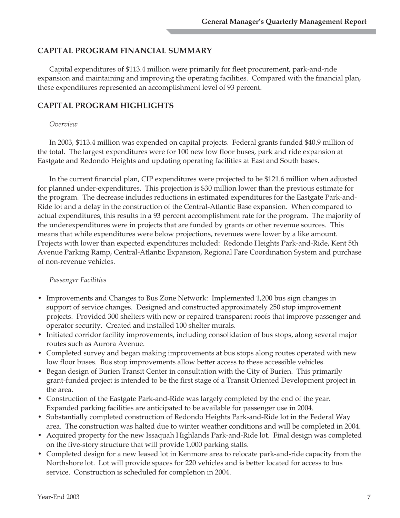#### **CAPITAL PROGRAM FINANCIAL SUMMARY**

Capital expenditures of \$113.4 million were primarily for fleet procurement, park-and-ride expansion and maintaining and improving the operating facilities. Compared with the financial plan, these expenditures represented an accomplishment level of 93 percent.

#### **CAPITAL PROGRAM HIGHLIGHTS**

#### *Overview*

In 2003, \$113.4 million was expended on capital projects. Federal grants funded \$40.9 million of the total. The largest expenditures were for 100 new low floor buses, park and ride expansion at Eastgate and Redondo Heights and updating operating facilities at East and South bases.

In the current financial plan, CIP expenditures were projected to be \$121.6 million when adjusted for planned under-expenditures. This projection is \$30 million lower than the previous estimate for the program. The decrease includes reductions in estimated expenditures for the Eastgate Park-and-Ride lot and a delay in the construction of the Central-Atlantic Base expansion. When compared to actual expenditures, this results in a 93 percent accomplishment rate for the program. The majority of the underexpenditures were in projects that are funded by grants or other revenue sources. This means that while expenditures were below projections, revenues were lower by a like amount. Projects with lower than expected expenditures included: Redondo Heights Park-and-Ride, Kent 5th Avenue Parking Ramp, Central-Atlantic Expansion, Regional Fare Coordination System and purchase of non-revenue vehicles.

#### *Passenger Facilities*

- Improvements and Changes to Bus Zone Network: Implemented 1,200 bus sign changes in support of service changes. Designed and constructed approximately 250 stop improvement projects. Provided 300 shelters with new or repaired transparent roofs that improve passenger and operator security. Created and installed 100 shelter murals.
- Initiated corridor facility improvements, including consolidation of bus stops, along several major routes such as Aurora Avenue.
- Completed survey and began making improvements at bus stops along routes operated with new low floor buses. Bus stop improvements allow better access to these accessible vehicles.
- Began design of Burien Transit Center in consultation with the City of Burien. This primarily grant-funded project is intended to be the first stage of a Transit Oriented Development project in the area.
- Construction of the Eastgate Park-and-Ride was largely completed by the end of the year. Expanded parking facilities are anticipated to be available for passenger use in 2004.
- Substantially completed construction of Redondo Heights Park-and-Ride lot in the Federal Way area. The construction was halted due to winter weather conditions and will be completed in 2004.
- Acquired property for the new Issaquah Highlands Park-and-Ride lot. Final design was completed on the five-story structure that will provide 1,000 parking stalls.
- Completed design for a new leased lot in Kenmore area to relocate park-and-ride capacity from the Northshore lot. Lot will provide spaces for 220 vehicles and is better located for access to bus service. Construction is scheduled for completion in 2004.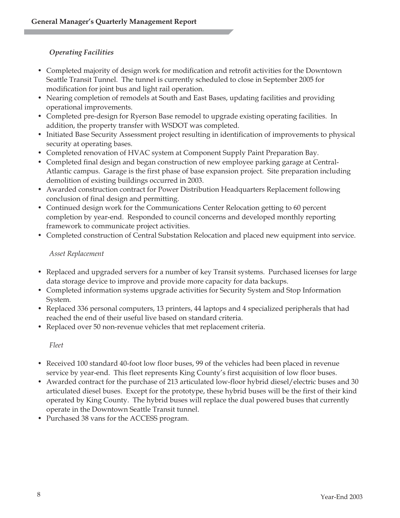## *Operating Facilities*

- Completed majority of design work for modification and retrofit activities for the Downtown Seattle Transit Tunnel. The tunnel is currently scheduled to close in September 2005 for modification for joint bus and light rail operation.
- Nearing completion of remodels at South and East Bases, updating facilities and providing operational improvements.
- Completed pre-design for Ryerson Base remodel to upgrade existing operating facilities. In addition, the property transfer with WSDOT was completed.
- Initiated Base Security Assessment project resulting in identification of improvements to physical security at operating bases.
- Completed renovation of HVAC system at Component Supply Paint Preparation Bay.
- Completed final design and began construction of new employee parking garage at Central-Atlantic campus. Garage is the first phase of base expansion project. Site preparation including demolition of existing buildings occurred in 2003.
- Awarded construction contract for Power Distribution Headquarters Replacement following conclusion of final design and permitting.
- Continued design work for the Communications Center Relocation getting to 60 percent completion by year-end. Responded to council concerns and developed monthly reporting framework to communicate project activities.
- Completed construction of Central Substation Relocation and placed new equipment into service.

#### *Asset Replacement*

- Replaced and upgraded servers for a number of key Transit systems. Purchased licenses for large data storage device to improve and provide more capacity for data backups.
- Completed information systems upgrade activities for Security System and Stop Information System.
- Replaced 336 personal computers, 13 printers, 44 laptops and 4 specialized peripherals that had reached the end of their useful live based on standard criteria.
- Replaced over 50 non-revenue vehicles that met replacement criteria.

*Fleet*

- Received 100 standard 40-foot low floor buses, 99 of the vehicles had been placed in revenue service by year-end. This fleet represents King County's first acquisition of low floor buses.
- Awarded contract for the purchase of 213 articulated low-floor hybrid diesel/electric buses and 30 articulated diesel buses. Except for the prototype, these hybrid buses will be the first of their kind operated by King County. The hybrid buses will replace the dual powered buses that currently operate in the Downtown Seattle Transit tunnel.
- Purchased 38 vans for the ACCESS program.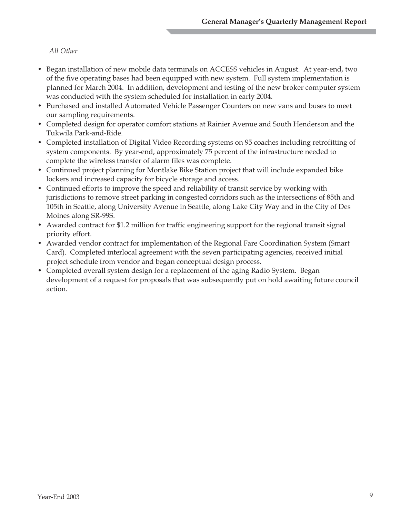#### *All Other*

- Began installation of new mobile data terminals on ACCESS vehicles in August. At year-end, two of the five operating bases had been equipped with new system. Full system implementation is planned for March 2004. In addition, development and testing of the new broker computer system was conducted with the system scheduled for installation in early 2004.
- Purchased and installed Automated Vehicle Passenger Counters on new vans and buses to meet our sampling requirements.
- Completed design for operator comfort stations at Rainier Avenue and South Henderson and the Tukwila Park-and-Ride.
- Completed installation of Digital Video Recording systems on 95 coaches including retrofitting of system components. By year-end, approximately 75 percent of the infrastructure needed to complete the wireless transfer of alarm files was complete.
- Continued project planning for Montlake Bike Station project that will include expanded bike lockers and increased capacity for bicycle storage and access.
- Continued efforts to improve the speed and reliability of transit service by working with jurisdictions to remove street parking in congested corridors such as the intersections of 85th and 105th in Seattle, along University Avenue in Seattle, along Lake City Way and in the City of Des Moines along SR-99S.
- Awarded contract for \$1.2 million for traffic engineering support for the regional transit signal priority effort.
- Awarded vendor contract for implementation of the Regional Fare Coordination System (Smart Card). Completed interlocal agreement with the seven participating agencies, received initial project schedule from vendor and began conceptual design process.
- Completed overall system design for a replacement of the aging Radio System. Began development of a request for proposals that was subsequently put on hold awaiting future council action.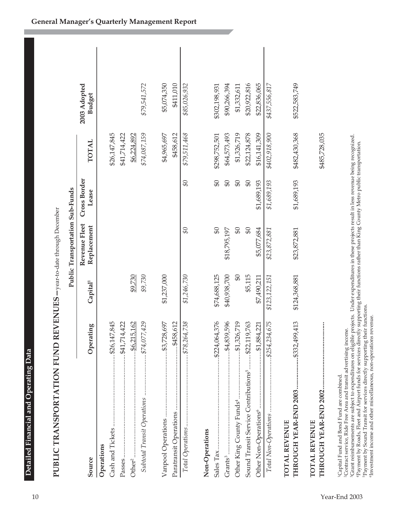| ľ                                                                                                                   |
|---------------------------------------------------------------------------------------------------------------------|
| Õ                                                                                                                   |
|                                                                                                                     |
|                                                                                                                     |
|                                                                                                                     |
| ļ<br>and the state of the state of the state of the state of the state of the state of the state of the state of th |
| i                                                                                                                   |
|                                                                                                                     |
| ׇ֚֕֜                                                                                                                |
| l                                                                                                                   |
| l                                                                                                                   |
|                                                                                                                     |
|                                                                                                                     |
|                                                                                                                     |
|                                                                                                                     |
|                                                                                                                     |
|                                                                                                                     |
|                                                                                                                     |
|                                                                                                                     |
|                                                                                                                     |
| I                                                                                                                   |

| 2003 A | tevenue Fleet Cross Border                                                |
|--------|---------------------------------------------------------------------------|
|        | ublic Transportation Sub-Funds                                            |
|        | $n$   Jecemi.<br>ATION FUND KEV EN UES-vear-to-date through<br>í<br>KANSI |

| I                        |
|--------------------------|
|                          |
|                          |
|                          |
|                          |
|                          |
|                          |
|                          |
|                          |
|                          |
|                          |
|                          |
|                          |
|                          |
|                          |
|                          |
|                          |
|                          |
|                          |
|                          |
|                          |
|                          |
|                          |
| (                        |
|                          |
|                          |
|                          |
|                          |
|                          |
|                          |
| j                        |
|                          |
|                          |
|                          |
|                          |
|                          |
|                          |
|                          |
|                          |
|                          |
|                          |
|                          |
|                          |
|                          |
|                          |
|                          |
|                          |
|                          |
|                          |
|                          |
|                          |
|                          |
| はんきんしゃ こくししょ しんへん        |
|                          |
| $\overline{\phantom{a}}$ |
|                          |
|                          |
|                          |
|                          |
|                          |
|                          |
| <br> <br>                |
|                          |
|                          |
|                          |
|                          |
|                          |
| l                        |

|                                                                                                                                                                                                                                                                                                                                                                                                                                                                                                                                                                                                                                                          |                       |                      | Public Transportation Sub-Funds |                       |               |                               |  |
|----------------------------------------------------------------------------------------------------------------------------------------------------------------------------------------------------------------------------------------------------------------------------------------------------------------------------------------------------------------------------------------------------------------------------------------------------------------------------------------------------------------------------------------------------------------------------------------------------------------------------------------------------------|-----------------------|----------------------|---------------------------------|-----------------------|---------------|-------------------------------|--|
| Source                                                                                                                                                                                                                                                                                                                                                                                                                                                                                                                                                                                                                                                   | Operating             | Capital <sup>1</sup> | Revenue Fleet<br>Replacement    | Cross Border<br>Lease | <b>TOTAL</b>  | 2003 Adopted<br><b>Budget</b> |  |
| Operations                                                                                                                                                                                                                                                                                                                                                                                                                                                                                                                                                                                                                                               |                       |                      |                                 |                       |               |                               |  |
|                                                                                                                                                                                                                                                                                                                                                                                                                                                                                                                                                                                                                                                          |                       |                      |                                 |                       | \$26,147,845  |                               |  |
|                                                                                                                                                                                                                                                                                                                                                                                                                                                                                                                                                                                                                                                          |                       |                      |                                 |                       | \$41,714,422  |                               |  |
| Other <sup>2</sup>                                                                                                                                                                                                                                                                                                                                                                                                                                                                                                                                                                                                                                       | $\frac{6,215,162}{2}$ | \$9,730              |                                 |                       | \$6,224,892   |                               |  |
| Subtotal Transit Operations  \$74,077,429                                                                                                                                                                                                                                                                                                                                                                                                                                                                                                                                                                                                                |                       | \$9,730              |                                 |                       | \$74,087,159  | \$79,541,572                  |  |
|                                                                                                                                                                                                                                                                                                                                                                                                                                                                                                                                                                                                                                                          |                       | \$1,237,000          |                                 |                       | \$4,965,697   | \$5,074,350                   |  |
|                                                                                                                                                                                                                                                                                                                                                                                                                                                                                                                                                                                                                                                          |                       |                      |                                 |                       | \$458,612     | \$411,010                     |  |
|                                                                                                                                                                                                                                                                                                                                                                                                                                                                                                                                                                                                                                                          |                       | \$1,246,730          | $\mathcal{G}$                   | SO                    | \$79,511,468  | \$85,026,932                  |  |
| Non-Operations                                                                                                                                                                                                                                                                                                                                                                                                                                                                                                                                                                                                                                           |                       |                      |                                 |                       |               |                               |  |
|                                                                                                                                                                                                                                                                                                                                                                                                                                                                                                                                                                                                                                                          |                       | \$74,688,125         | $\mathfrak{S}$                  | $\mathfrak{B}$        | \$298,752,501 | \$302,198,931                 |  |
| Grants <sup>3</sup>                                                                                                                                                                                                                                                                                                                                                                                                                                                                                                                                                                                                                                      | \$4,839,596           | \$40,938,700         | \$18,795,197                    | $\mathfrak{S}$        | \$64,573,493  | \$90,266,394                  |  |
| Other King County Funds <sup>4</sup> \$1,326,719                                                                                                                                                                                                                                                                                                                                                                                                                                                                                                                                                                                                         |                       | \$0                  | \$0                             | $\mathfrak{S}$        | \$1,326,719   | \$1,332,611                   |  |
| Sound Transit Service Contributions <sup>5</sup> \$22,119,763                                                                                                                                                                                                                                                                                                                                                                                                                                                                                                                                                                                            |                       | \$5,115              | $\mathfrak{B}$                  | $\mathfrak{B}$        | \$22,124,878  | \$20,922,816                  |  |
|                                                                                                                                                                                                                                                                                                                                                                                                                                                                                                                                                                                                                                                          | $\dots 41,884,221$    | \$7,490,211          | \$5,077,684                     | \$1,689,193           | \$16,141,309  | \$22,836,065                  |  |
|                                                                                                                                                                                                                                                                                                                                                                                                                                                                                                                                                                                                                                                          |                       | \$123,122,151        | \$23,872,881                    | \$1,689,193           | \$402,918,900 | \$437,556,817                 |  |
| THROUGH YEAR-END 2003  \$332,499,413<br>TOTAL REVENUE                                                                                                                                                                                                                                                                                                                                                                                                                                                                                                                                                                                                    |                       | \$124,368,881        | \$23,872,881                    | \$1,689,193           | \$482,430,368 | \$522,583,749                 |  |
| TOTAL REVENUE                                                                                                                                                                                                                                                                                                                                                                                                                                                                                                                                                                                                                                            |                       |                      |                                 |                       | \$485,728,035 |                               |  |
| <sup>3</sup> Grant reimbursements are subject to expenditures on eligible projects. Under expenditures in these projects result in less revenue being recognized.<br><sup>4</sup> Payment by Roads, Fleet and Airport funds for services directly supporting their functions rather than King County Metro public transportation.<br><sup>5</sup> Payment by Sound Transit for services directly supporting their functions<br><sup>6</sup> Investment income and other miscellaneous, non-operations revenue.<br><sup>2</sup> Contract service, Ride Free Area and transit advertising income.<br><sup>1</sup> Capital Fund and Bond Fund are combined. |                       |                      |                                 |                       |               |                               |  |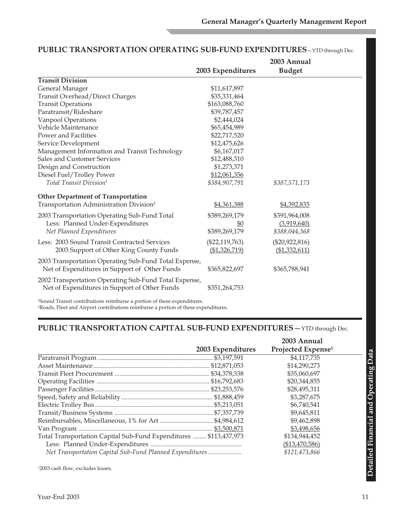|                                                       |                   | 2003 Annual      |  |
|-------------------------------------------------------|-------------------|------------------|--|
|                                                       | 2003 Expenditures | <b>Budget</b>    |  |
| <b>Transit Division</b>                               |                   |                  |  |
| General Manager                                       | \$11,617,897      |                  |  |
| Transit Overhead/Direct Charges                       | \$35,331,464      |                  |  |
| <b>Transit Operations</b>                             | \$163,088,760     |                  |  |
| Paratransit/Rideshare                                 | \$39,787,457      |                  |  |
| Vanpool Operations                                    | \$2,444,024       |                  |  |
| Vehicle Maintenance                                   | \$65,454,989      |                  |  |
| Power and Facilities                                  | \$22,717,520      |                  |  |
| Service Development                                   | \$12,475,626      |                  |  |
| Management Information and Transit Technology         | \$6,167,017       |                  |  |
| Sales and Customer Services                           | \$12,488,310      |                  |  |
| Design and Construction                               | \$1,273,371       |                  |  |
| Diesel Fuel/Trolley Power                             | \$12,061,356      |                  |  |
| Total Transit Division <sup>1</sup>                   | \$384,907,791     | \$387,571,173    |  |
| <b>Other Department of Transportation</b>             |                   |                  |  |
| Transportation Administration Division <sup>2</sup>   | \$4,361,388       | \$4,392,835      |  |
| 2003 Transportation Operating Sub-Fund Total          | \$389,269,179     | \$391,964,008    |  |
| Less: Planned Under-Expenditures                      | \$0               | (3,919,640)      |  |
| Net Planned Expenditures                              | \$389,269,179     | \$388,044,368    |  |
| Less: 2003 Sound Transit Contracted Services          | $(\$22,119,763)$  | $(\$20,922,816)$ |  |
| 2003 Support of Other King County Funds               | (\$1,326,719)     | (\$1,332,611)    |  |
| 2003 Transportation Operating Sub-Fund Total Expense, |                   |                  |  |
| Net of Expenditures in Support of Other Funds         | \$365,822,697     | \$365,788,941    |  |
| 2002 Transportation Operating Sub-Fund Total Expense, |                   |                  |  |
| Net of Expenditures in Support of Other Funds         | \$351,264,753     |                  |  |
|                                                       |                   |                  |  |

#### **PUBLIC TRANSPORTATION OPERATING SUB-FUND EXPENDITURES**—YTD through Dec.

1 Sound Transit contributions reimburse a portion of these expenditures. 2Roads, Fleet and Airport contributions reimburse a portion of these expenditures.

### **PUBLIC TRANSPORTATION CAPITAL SUB-FUND EXPENDITURES**—YTD through Dec.

|                                                                   |                   | 2003 Annual                    |
|-------------------------------------------------------------------|-------------------|--------------------------------|
|                                                                   | 2003 Expenditures | Projected Expense <sup>1</sup> |
|                                                                   |                   | \$4,117,735                    |
|                                                                   |                   | \$14,290,273                   |
|                                                                   |                   | \$35,060,697                   |
|                                                                   |                   | \$20,344,855                   |
|                                                                   |                   | \$28,495,311                   |
|                                                                   |                   | \$3,287,675                    |
|                                                                   |                   | \$6,740,541                    |
|                                                                   |                   | \$9,645,811                    |
|                                                                   |                   | \$9,462,898                    |
|                                                                   |                   | \$3,498,656                    |
| Total Transportation Capital Sub-Fund Expenditures  \$113,437,973 |                   | \$134,944,452                  |
|                                                                   |                   | (\$13,470,586)                 |
| Net Transportation Capital Sub-Fund Planned Expenditures          |                   | \$121,473,866                  |

12003 cash flow; excludes leases.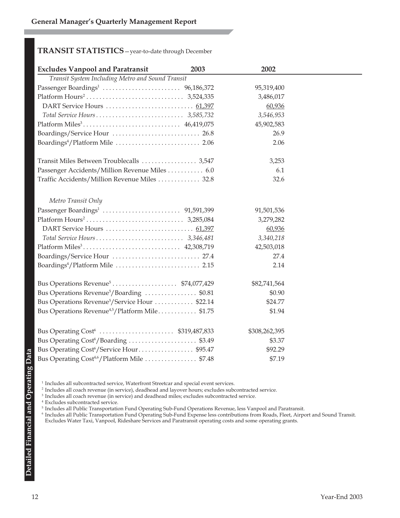#### **TRANSIT STATISTICS**—year-to-date through December

| <b>Excludes Vanpool and Paratransit</b>                     | 2003 | 2002          |  |
|-------------------------------------------------------------|------|---------------|--|
| Transit System Including Metro and Sound Transit            |      |               |  |
|                                                             |      | 95,319,400    |  |
|                                                             |      | 3,486,017     |  |
|                                                             |      | 60,936        |  |
|                                                             |      | 3,546,953     |  |
|                                                             |      | 45,902,583    |  |
| Boardings/Service Hour  26.8                                |      | 26.9          |  |
|                                                             |      | 2.06          |  |
| Transit Miles Between Troublecalls  3,547                   |      | 3,253         |  |
| Passenger Accidents/Million Revenue Miles 6.0               |      | 6.1           |  |
| Traffic Accidents/Million Revenue Miles  32.8               |      | 32.6          |  |
| Metro Transit Only                                          |      |               |  |
|                                                             |      | 91,501,536    |  |
|                                                             |      | 3,279,282     |  |
|                                                             |      | 60,936        |  |
|                                                             |      | 3,340,218     |  |
|                                                             |      | 42,503,018    |  |
|                                                             |      | 27.4          |  |
|                                                             |      | 2.14          |  |
|                                                             |      | \$82,741,564  |  |
| Bus Operations Revenue <sup>5</sup> /Boarding \$0.81        |      | \$0.90        |  |
| Bus Operations Revenue <sup>5</sup> /Service Hour  \$22.14  |      | \$24.77       |  |
| Bus Operations Revenue <sup>4,5</sup> /Platform Mile \$1.75 |      | \$1.94        |  |
|                                                             |      | \$308,262,395 |  |
| Bus Operating Cost <sup>6</sup> /Boarding  \$3.49           |      | \$3.37        |  |
| Bus Operating Cost <sup>6</sup> /Service Hour\$95.47        |      | \$92.29       |  |
| Bus Operating Cost <sup>4,6</sup> /Platform Mile  \$7.48    |      | \$7.19        |  |

<sup>1</sup> Includes all subcontracted service, Waterfront Streetcar and special event services.

<sup>2</sup> Includes all coach revenue (in service), deadhead and layover hours; excludes subcontracted service.

<sup>3</sup> Includes all coach revenue (in service) and deadhead miles; excludes subcontracted service.

<sup>4</sup> Excludes subcontracted service.

<sup>5</sup> Includes all Public Transportation Fund Operating Sub-Fund Operations Revenue, less Vanpool and Paratransit.

 $^6$  Includes all Public Transportation Fund Operating Sub-Fund Expense less contributions from Roads, Fleet, Airport and Sound Transit. Excludes Water Taxi, Vanpool, Rideshare Services and Paratransit operating costs and some operating grants.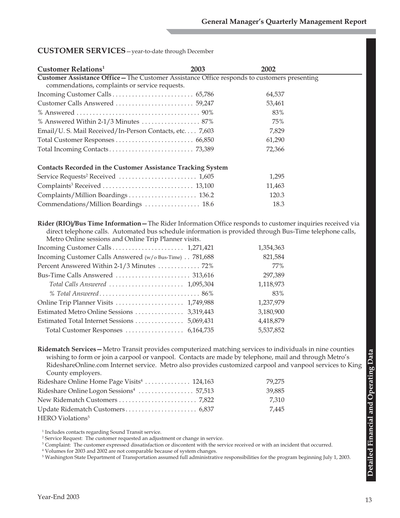#### **CUSTOMER SERVICES**—year-to-date through December

| <b>Customer Relations</b> <sup>1</sup>                                                       | 2003 | 2002   |  |  |  |
|----------------------------------------------------------------------------------------------|------|--------|--|--|--|
| Customer Assistance Office - The Customer Assistance Office responds to customers presenting |      |        |  |  |  |
| commendations, complaints or service requests.                                               |      |        |  |  |  |
|                                                                                              |      | 64,537 |  |  |  |
|                                                                                              |      | 53,461 |  |  |  |
|                                                                                              |      | 83%    |  |  |  |
| % Answered Within 2-1/3 Minutes $\ldots \ldots \ldots \ldots \ldots \ldots$ 87%              |      | 75%    |  |  |  |
| Email/U.S. Mail Received/In-Person Contacts, etc. 7,603                                      |      | 7,829  |  |  |  |
|                                                                                              |      | 61,290 |  |  |  |
|                                                                                              |      | 72,366 |  |  |  |
|                                                                                              |      |        |  |  |  |
| <b>Contacts Recorded in the Customer Assistance Tracking System</b>                          |      |        |  |  |  |
|                                                                                              |      | 1,295  |  |  |  |
|                                                                                              |      | 11,463 |  |  |  |
|                                                                                              |      | 120.3  |  |  |  |
| Commendations/Million Boardings  18.6                                                        |      | 18.3   |  |  |  |

**Rider (RIO)/Bus Time Information—**The Rider Information Office responds to customer inquiries received via direct telephone calls. Automated bus schedule information is provided through Bus-Time telephone calls, Metro Online sessions and Online Trip Planner visits.

|                                                         | 1,354,363 |
|---------------------------------------------------------|-----------|
| Incoming Customer Calls Answered (w/o Bus-Time) 781,688 | 821,584   |
| Percent Answered Within 2-1/3 Minutes  72%              | 77%       |
|                                                         | 297,389   |
|                                                         | 1,118,973 |
|                                                         | 83%       |
|                                                         | 1,237,979 |
|                                                         | 3,180,900 |
|                                                         | 4,418,879 |
|                                                         | 5,537,852 |
|                                                         |           |

**Ridematch Services—**Metro Transit provides computerized matching services to individuals in nine counties wishing to form or join a carpool or vanpool. Contacts are made by telephone, mail and through Metro's RideshareOnline.com Internet service. Metro also provides customized carpool and vanpool services to King County employers.

| Rideshare Online Home Page Visits <sup>4</sup> 124,163 | 79.275 |
|--------------------------------------------------------|--------|
|                                                        | 39.885 |
|                                                        | 7.310  |
|                                                        | 7.445  |
| HERO Violations <sup>5</sup>                           |        |

<sup>1</sup> Includes contacts regarding Sound Transit service.

<sup>2</sup> Service Request: The customer requested an adjustment or change in service.

<sup>3</sup> Complaint: The customer expressed dissatisfaction or discontent with the service received or with an incident that occurred.

<sup>4</sup> Volumes for 2003 and 2002 are not comparable because of system changes.

<sup>5</sup> Washington State Department of Transportation assumed full administrative responsibilities for the program beginning July 1, 2003.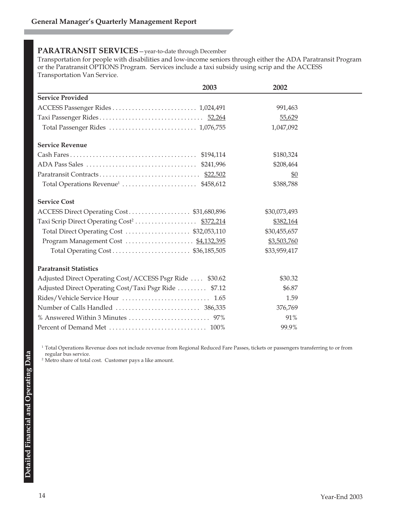#### **PARATRANSIT SERVICES**—year-to-date through December

Transportation for people with disabilities and low-income seniors through either the ADA Paratransit Program or the Paratransit OPTIONS Program. Services include a taxi subsidy using scrip and the ACCESS Transportation Van Service.

| 2003                                                     | 2002            |  |
|----------------------------------------------------------|-----------------|--|
| <b>Service Provided</b>                                  |                 |  |
|                                                          | 991,463         |  |
|                                                          | 55,629          |  |
| Total Passenger Rides  1,076,755                         | 1,047,092       |  |
| <b>Service Revenue</b>                                   |                 |  |
|                                                          | \$180,324       |  |
|                                                          | \$208,464       |  |
|                                                          | $\frac{60}{20}$ |  |
|                                                          | \$388,788       |  |
| <b>Service Cost</b>                                      |                 |  |
| ACCESS Direct Operating Cost\$31,680,896                 | \$30,073,493    |  |
|                                                          | \$382,164       |  |
| Total Direct Operating Cost  \$32,053,110                | \$30,455,657    |  |
| Program Management Cost  \$4,132,395                     | \$3,503,760     |  |
|                                                          | \$33,959,417    |  |
| <b>Paratransit Statistics</b>                            |                 |  |
| Adjusted Direct Operating Cost/ACCESS Psgr Ride  \$30.62 | \$30.32         |  |
| Adjusted Direct Operating Cost/Taxi Psgr Ride  \$7.12    | \$6.87          |  |
| Rides/Vehicle Service Hour  1.65                         | 1.59            |  |
|                                                          | 376,769         |  |
|                                                          | 91%             |  |
|                                                          | 99.9%           |  |

<sup>1</sup> Total Operations Revenue does not include revenue from Regional Reduced Fare Passes, tickets or passengers transferring to or from regular bus service.

<sup>2</sup> Metro share of total cost. Customer pays a like amount.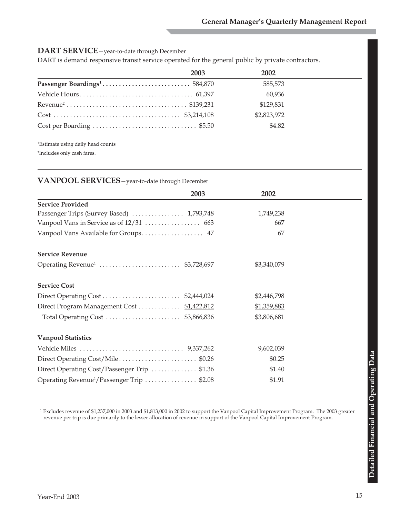#### **DART SERVICE**—year-to-date through December

DART is demand responsive transit service operated for the general public by private contractors.

| 2003 | 2002        |
|------|-------------|
|      | 585,573     |
|      | 60,936      |
|      | \$129,831   |
|      | \$2,823,972 |
|      | \$4.82      |

1Estimate using daily head counts

2 Includes only cash fares.

#### **VANPOOL SERVICES**—year-to-date through December

| 2003                                                   | 2002        |  |
|--------------------------------------------------------|-------------|--|
| <b>Service Provided</b>                                |             |  |
| Passenger Trips (Survey Based)  1,793,748              | 1,749,238   |  |
|                                                        | 667         |  |
|                                                        | 67          |  |
| <b>Service Revenue</b>                                 |             |  |
|                                                        | \$3,340,079 |  |
| <b>Service Cost</b>                                    |             |  |
|                                                        | \$2,446,798 |  |
| Direct Program Management Cost  \$1,422,812            | \$1,359,883 |  |
|                                                        | \$3,806,681 |  |
| <b>Vanpool Statistics</b>                              |             |  |
|                                                        | 9,602,039   |  |
| Direct Operating Cost/Mile\$0.26                       | \$0.25      |  |
| Direct Operating Cost/Passenger Trip  \$1.36           | \$1.40      |  |
| Operating Revenue <sup>1</sup> /Passenger Trip  \$2.08 | \$1.91      |  |

<sup>1</sup> Excludes revenue of \$1,237,000 in 2003 and \$1,813,000 in 2002 to support the Vanpool Capital Improvement Program. The 2003 greater revenue per trip is due primarily to the lesser allocation of revenue in support of the Vanpool Capital Improvement Program.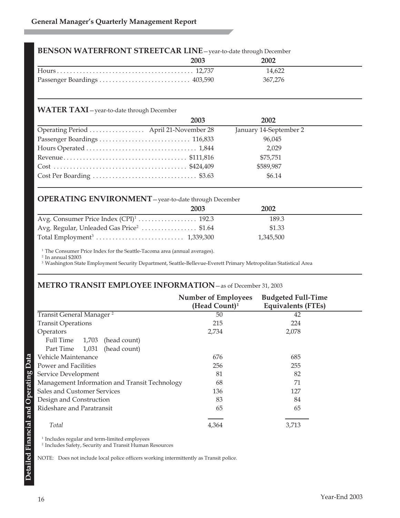#### **BENSON WATERFRONT STREETCAR LINE**—year-to-date through December

| 2003 | 2002    |  |
|------|---------|--|
|      | 14.622  |  |
|      | 367.276 |  |

#### **WATER TAXI**—year-to-date through December

|                                        | 2003 | 2002                   |  |
|----------------------------------------|------|------------------------|--|
| Operating Period  April 21-November 28 |      | January 14-September 2 |  |
|                                        |      | 96,045                 |  |
|                                        |      | 2,029                  |  |
|                                        |      | \$75,751               |  |
|                                        |      | \$589,987              |  |
|                                        |      | \$6.14                 |  |

#### **OPERATING ENVIRONMENT**—year-to-date through December

|                                                      | 2003 | 2002      |  |
|------------------------------------------------------|------|-----------|--|
|                                                      |      | 189.3     |  |
| Avg. Regular, Unleaded Gas Price <sup>2</sup> \$1.64 |      | \$1.33    |  |
|                                                      |      | 1.345.500 |  |

<sup>1</sup> The Consumer Price Index for the Seattle-Tacoma area (annual averages).

<sup>2</sup> In annual \$2003

<sup>3</sup> Washington State Employment Security Department, Seattle-Bellevue-Everett Primary Metropolitan Statistical Area

#### **METRO TRANSIT EMPLOYEE INFORMATION**—as of December 31, 2003

|                                               | <b>Number of Employees</b><br>(Head Count) $1$ | <b>Budgeted Full-Time</b><br><b>Equivalents (FTEs)</b> |
|-----------------------------------------------|------------------------------------------------|--------------------------------------------------------|
| Transit General Manager <sup>2</sup>          | 50                                             | 42                                                     |
| <b>Transit Operations</b>                     | 215                                            | 224                                                    |
| Operators                                     | 2,734                                          | 2,078                                                  |
| Full Time<br>1,703<br>(head count)            |                                                |                                                        |
| (head count)<br>Part Time<br>1,031            |                                                |                                                        |
| Vehicle Maintenance                           | 676                                            | 685                                                    |
| Power and Facilities                          | 256                                            | 255                                                    |
| Service Development                           | 81                                             | 82                                                     |
| Management Information and Transit Technology | 68                                             | 71                                                     |
| <b>Sales and Customer Services</b>            | 136                                            | 127                                                    |
| Design and Construction                       | 83                                             | 84                                                     |
| Rideshare and Paratransit                     | 65                                             | 65                                                     |
| Total                                         | 4,364                                          | 3,713                                                  |

 $^{\rm 1}$  Includes regular and term-limited employees

<sup>2</sup> Includes Safety, Security and Transit Human Resources

NOTE: Does not include local police officers working intermittently as Transit police.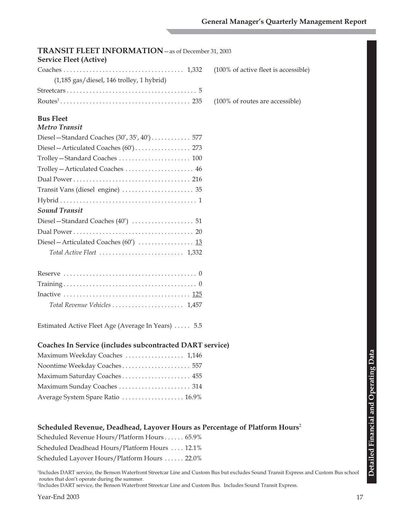| TRANSIT FLEET INFORMATION - as of December 31, 2003<br><b>Service Fleet (Active)</b>    |                                      |
|-----------------------------------------------------------------------------------------|--------------------------------------|
|                                                                                         | (100% of active fleet is accessible) |
| (1,185 gas/diesel, 146 trolley, 1 hybrid)                                               |                                      |
|                                                                                         |                                      |
|                                                                                         | (100% of routes are accessible)      |
|                                                                                         |                                      |
| <b>Bus Fleet</b>                                                                        |                                      |
| <b>Metro Transit</b>                                                                    |                                      |
|                                                                                         |                                      |
|                                                                                         |                                      |
|                                                                                         |                                      |
|                                                                                         |                                      |
|                                                                                         |                                      |
|                                                                                         |                                      |
|                                                                                         |                                      |
| <b>Sound Transit</b>                                                                    |                                      |
|                                                                                         |                                      |
|                                                                                         |                                      |
|                                                                                         |                                      |
|                                                                                         |                                      |
|                                                                                         |                                      |
|                                                                                         |                                      |
|                                                                                         |                                      |
|                                                                                         |                                      |
| Total Revenue Vehicles  1,457                                                           |                                      |
|                                                                                         |                                      |
| Estimated Active Fleet Age (Average In Years)  5.5                                      |                                      |
|                                                                                         |                                      |
| Coaches In Service (includes subcontracted DART service)                                |                                      |
| Maximum Weekday Coaches  1,146                                                          |                                      |
|                                                                                         |                                      |
| Maximum Saturday Coaches 455                                                            |                                      |
|                                                                                         |                                      |
| Average System Spare Ratio  16.9%                                                       |                                      |
| Scheduled Revenue, Deadhead, Layover Hours as Percentage of Platform Hours <sup>2</sup> |                                      |
| Scheduled Revenue Hours/Platform Hours 65.9%                                            |                                      |
| Scheduled Deadhead Hours/Platform Hours  12.1%                                          |                                      |

Scheduled Layover Hours/Platform Hours . . . . . . 22.0%

1 Includes DART service, the Benson Waterfront Streetcar Line and Custom Bus but excludes Sound Transit Express and Custom Bus school routes that don't operate during the summer.

2Includes DART service, the Benson Waterfront Streetcar Line and Custom Bus. Includes Sound Transit Express.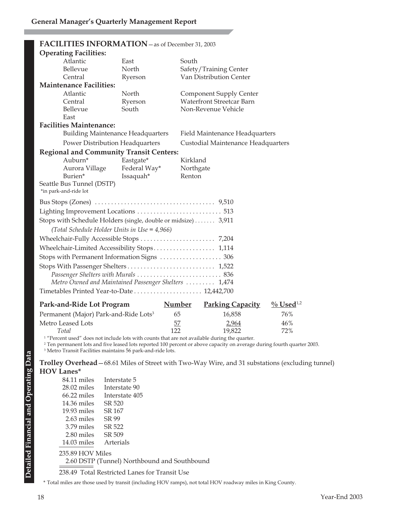|                                                      |                                              | FACILITIES INFORMATION - as of December 31, 2003               |                                    |  |
|------------------------------------------------------|----------------------------------------------|----------------------------------------------------------------|------------------------------------|--|
|                                                      | <b>Operating Facilities:</b>                 |                                                                |                                    |  |
|                                                      | Atlantic                                     | East                                                           | South                              |  |
|                                                      | Bellevue                                     | North                                                          | Safety/Training Center             |  |
|                                                      | Central                                      | Ryerson                                                        | Van Distribution Center            |  |
|                                                      | <b>Maintenance Facilities:</b>               |                                                                |                                    |  |
|                                                      | Atlantic                                     | North                                                          | <b>Component Supply Center</b>     |  |
|                                                      | Central                                      | Ryerson                                                        | <b>Waterfront Streetcar Barn</b>   |  |
|                                                      | Bellevue                                     | South                                                          | Non-Revenue Vehicle                |  |
|                                                      | East                                         |                                                                |                                    |  |
|                                                      | <b>Facilities Maintenance:</b>               |                                                                |                                    |  |
|                                                      | <b>Building Maintenance Headquarters</b>     |                                                                | Field Maintenance Headquarters     |  |
|                                                      | Power Distribution Headquarters              |                                                                | Custodial Maintenance Headquarters |  |
|                                                      |                                              | <b>Regional and Community Transit Centers:</b>                 |                                    |  |
|                                                      | Auburn*                                      | Eastgate*                                                      | Kirkland                           |  |
|                                                      | Aurora Village                               | Federal Way*                                                   | Northgate                          |  |
|                                                      | Burien*                                      | Issaquah*                                                      | Renton                             |  |
|                                                      | Seattle Bus Tunnel (DSTP)                    |                                                                |                                    |  |
| *in park-and-ride lot                                |                                              |                                                                |                                    |  |
|                                                      |                                              |                                                                |                                    |  |
|                                                      |                                              | Lighting Improvement Locations  513                            |                                    |  |
|                                                      |                                              | Stops with Schedule Holders (single, double or midsize)  3,911 |                                    |  |
|                                                      | (Total Schedule Holder Units in Use = 4,966) |                                                                |                                    |  |
|                                                      |                                              |                                                                |                                    |  |
|                                                      |                                              |                                                                |                                    |  |
| Wheelchair-Limited Accessibility Stops 1,114         |                                              |                                                                |                                    |  |
| Stops with Permanent Information Signs  306          |                                              |                                                                |                                    |  |
|                                                      |                                              |                                                                |                                    |  |
| Passenger Shelters with Murals  836                  |                                              |                                                                |                                    |  |
| Metro Owned and Maintained Passenger Shelters  1,474 |                                              |                                                                |                                    |  |
| Timetables Printed Year-to-Date 12,442,700           |                                              |                                                                |                                    |  |
|                                                      |                                              |                                                                |                                    |  |

| Park-and-Ride Lot Program                         | <b>Number</b> | <b>Parking Capacity</b> | $\%$ Used <sup>1,2</sup> |
|---------------------------------------------------|---------------|-------------------------|--------------------------|
| Permanent (Major) Park-and-Ride Lots <sup>3</sup> | 65            | 16.858                  | 76%                      |
| Metro Leased Lots                                 | 57            | 2.964                   | $46\%$                   |
| Total                                             | 122           | 19.822                  | 72%                      |

<sup>1</sup> "Percent used" does not include lots with counts that are not available during the quarter.

<sup>2</sup> Ten permanent lots and five leased lots reported 100 percent or above capacity on average during fourth quarter 2003.

<sup>3</sup> Metro Transit Facilities maintains 56 park-and-ride lots.

#### **Trolley Overhead**—68.61 Miles of Street with Two-Way Wire, and 31 substations (excluding tunnel) **HOV Lanes\***

| 84.11 miles      | Interstate 5                                                                                                                                                                                                                       |
|------------------|------------------------------------------------------------------------------------------------------------------------------------------------------------------------------------------------------------------------------------|
| $28.02$ miles    | Interstate 90                                                                                                                                                                                                                      |
| $66.22$ miles    | Interstate 405                                                                                                                                                                                                                     |
| 14.36 miles      | SR 520                                                                                                                                                                                                                             |
| $19.93$ miles    | SR 167                                                                                                                                                                                                                             |
| 2.63 miles       | SR 99                                                                                                                                                                                                                              |
| $3.79$ miles     | SR 522                                                                                                                                                                                                                             |
| 2.80 miles       | SR 509                                                                                                                                                                                                                             |
| $14.03$ miles    | Arterials                                                                                                                                                                                                                          |
| 235.89 HOV Miles |                                                                                                                                                                                                                                    |
|                  | 2.60 DSTP (Tunnel) Northbound and Southbound                                                                                                                                                                                       |
|                  | $0.0010 \text{ T}$ $1.001$ $1.001$ $1.001$ $1.001$ $1.001$ $1.001$ $1.001$ $1.001$ $1.001$ $1.001$ $1.001$ $1.001$ $1.001$ $1.001$ $1.001$ $1.001$ $1.001$ $1.001$ $1.001$ $1.001$ $1.001$ $1.001$ $1.001$ $1.001$ $1.001$ $1.001$ |

238.49 Total Restricted Lanes for Transit Use

\* Total miles are those used by transit (including HOV ramps), not total HOV roadway miles in King County.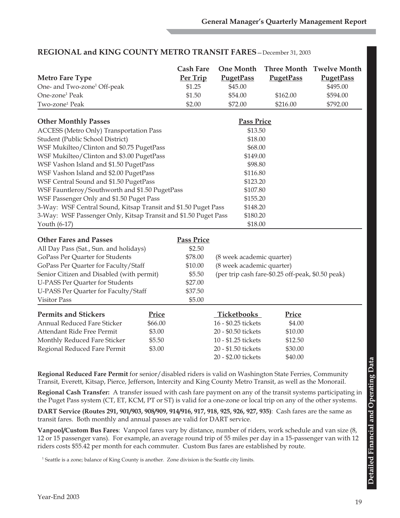|                                                                 | <b>Cash Fare</b>  | <b>One Month</b>          |                                                   | Three Month Twelve Month |
|-----------------------------------------------------------------|-------------------|---------------------------|---------------------------------------------------|--------------------------|
| <b>Metro Fare Type</b>                                          | Per Trip          | <b>PugetPass</b>          | <b>PugetPass</b>                                  | <b>PugetPass</b>         |
| One- and Two-zone <sup>1</sup> Off-peak                         | \$1.25            | \$45.00                   |                                                   | \$495.00                 |
| One-zone <sup>1</sup> Peak                                      | \$1.50            | \$54.00                   | \$162.00                                          | \$594.00                 |
| Two-zone <sup>1</sup> Peak                                      | \$2.00            | \$72.00                   | \$216.00                                          | \$792.00                 |
| <b>Other Monthly Passes</b>                                     |                   | <b>Pass Price</b>         |                                                   |                          |
| <b>ACCESS</b> (Metro Only) Transportation Pass                  |                   | \$13.50                   |                                                   |                          |
| Student (Public School District)                                |                   | \$18.00                   |                                                   |                          |
| WSF Mukilteo/Clinton and \$0.75 PugetPass                       |                   | \$68.00                   |                                                   |                          |
| WSF Mukilteo/Clinton and \$3.00 PugetPass                       |                   | \$149.00                  |                                                   |                          |
| WSF Vashon Island and \$1.50 PugetPass                          |                   | \$98.80                   |                                                   |                          |
| WSF Vashon Island and \$2.00 PugetPass                          |                   | \$116.80                  |                                                   |                          |
| WSF Central Sound and \$1.50 PugetPass                          |                   | \$123.20                  |                                                   |                          |
| WSF Fauntleroy/Southworth and \$1.50 PugetPass                  |                   | \$107.80                  |                                                   |                          |
| WSF Passenger Only and \$1.50 Puget Pass                        |                   | \$155.20                  |                                                   |                          |
| 3-Way: WSF Central Sound, Kitsap Transit and \$1.50 Puget Pass  |                   | \$148.20                  |                                                   |                          |
| 3-Way: WSF Passenger Only, Kitsap Transit and \$1.50 Puget Pass |                   | \$180.20                  |                                                   |                          |
| Youth (6-17)                                                    |                   | \$18.00                   |                                                   |                          |
| <b>Other Fares and Passes</b>                                   | <b>Pass Price</b> |                           |                                                   |                          |
| All Day Pass (Sat., Sun. and holidays)                          | \$2.50            |                           |                                                   |                          |
| GoPass Per Quarter for Students                                 | \$78.00           | (8 week academic quarter) |                                                   |                          |
| GoPass Per Quarter for Faculty/Staff                            | \$10.00           | (8 week academic quarter) |                                                   |                          |
| Senior Citizen and Disabled (with permit)                       | \$5.50            |                           | (per trip cash fare-\$0.25 off-peak, \$0.50 peak) |                          |
| <b>U-PASS Per Quarter for Students</b>                          | \$27.00           |                           |                                                   |                          |
| U-PASS Per Quarter for Faculty/Staff                            | \$37.50           |                           |                                                   |                          |
| <b>Visitor Pass</b>                                             | \$5.00            |                           |                                                   |                          |
| <b>Permits and Stickers</b><br>Price                            |                   | Ticketbooks               | Price                                             |                          |
| <b>Annual Reduced Fare Sticker</b>                              | \$66.00           | 16 - \$0.25 tickets       | \$4.00                                            |                          |
| \$3.00<br>Attendant Ride Free Permit                            |                   | 20 - \$0.50 tickets       | \$10.00                                           |                          |
| Monthly Reduced Fare Sticker<br>\$5.50                          |                   | 10 - \$1.25 tickets       | \$12.50                                           |                          |
| \$3.00<br>Regional Reduced Fare Permit                          |                   | 20 - \$1.50 tickets       | \$30.00                                           |                          |
|                                                                 |                   | 20 - \$2.00 tickets       | \$40.00                                           |                          |
|                                                                 |                   |                           |                                                   |                          |

### **REGIONAL and KING COUNTY METRO TRANSIT FARES**—December 31, 2003

**Regional Reduced Fare Permit** for senior/disabled riders is valid on Washington State Ferries, Community Transit, Everett, Kitsap, Pierce, Jefferson, Intercity and King County Metro Transit, as well as the Monorail.

**Regional Cash Transfer:** A transfer issued with cash fare payment on any of the transit systems participating in the Puget Pass system (CT, ET, KCM, PT or ST) is valid for a one-zone or local trip on any of the other systems.

**DART Service (Routes 291, 901/903, 908/909, 914/916, 917, 918, 925, 926, 927, 935)**: Cash fares are the same as transit fares. Both monthly and annual passes are valid for DART service.

**Vanpool/Custom Bus Fares**: Vanpool fares vary by distance, number of riders, work schedule and van size (8, 12 or 15 passenger vans). For example, an average round trip of 55 miles per day in a 15-passenger van with 12 riders costs \$55.42 per month for each commuter. Custom Bus fares are established by route.

 $^{\rm 1}$  Seattle is a zone; balance of King County is another. Zone division is the Seattle city limits.